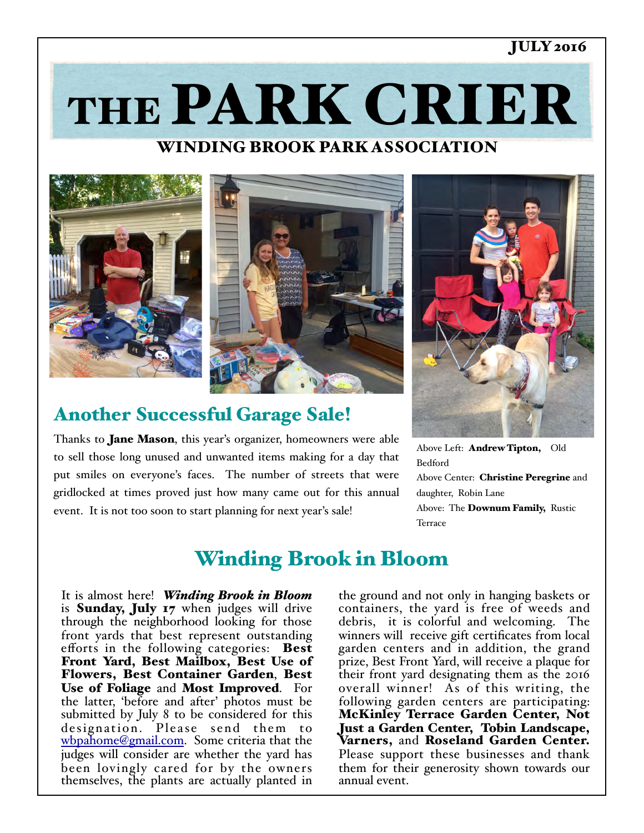### JULY 2016

THE PARK CRIER

## WINDING BROOK PARK ASSOCIATION



## Another Successful Garage Sale!

Thanks to **Jane Mason**, this year's organizer, homeowners were able to sell those long unused and unwanted items making for a day that put smiles on everyone's faces. The number of streets that were gridlocked at times proved just how many came out for this annual event. It is not too soon to start planning for next year's sale!



Above Left: Andrew Tipton, Old Bedford Above Center: Christine Peregrine and daughter, Robin Lane Above: The **Downum Family**, Rustic **Terrace** 

# Winding Brook in Bloom

It is almost here! *Winding Brook in Bloom* is Sunday, July 17 when judges will drive through the neighborhood looking for those front yards that best represent outstanding efforts in the following categories: Best Front Yard, Best Mailbox, Best Use of Flowers, Best Container Garden, Best Use of Foliage and Most Improved. For the latter, 'before and after' photos must be submitted by July 8 to be considered for this designation. Please send them to [wbpahome@gmail.com.](mailto:wbpahome@gmail.com) Some criteria that the judges will consider are whether the yard has been lovingly cared for by the owners themselves, the plants are actually planted in

the ground and not only in hanging baskets or containers, the yard is free of weeds and debris, it is colorful and welcoming. The winners will receive gift certificates from local garden centers and in addition, the grand prize, Best Front Yard, will receive a plaque for their front yard designating them as the 2016 overall winner! As of this writing, the following garden centers are participating: McKinley Terrace Garden Center, Not Just a Garden Center, Tobin Landscape, Varners, and Roseland Garden Center. Please support these businesses and thank them for their generosity shown towards our annual event.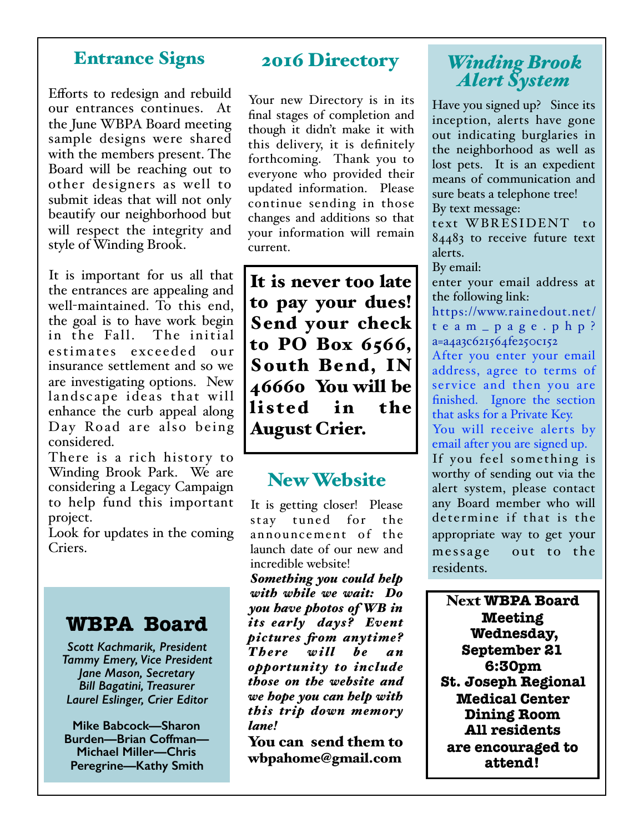### Entrance Signs

Efforts to redesign and rebuild our entrances continues. At the June WBPA Board meeting sample designs were shared with the members present. The Board will be reaching out to other designers as well to submit ideas that will not only beautify our neighborhood but will respect the integrity and style of Winding Brook.

It is important for us all that the entrances are appealing and well-maintained. To this end, the goal is to have work begin in the Fall. The initial estimates exceeded our insurance settlement and so we are investigating options. New landscape ideas that will enhance the curb appeal along Day Road are also being considered.

There is a rich history to Winding Brook Park. We are considering a Legacy Campaign to help fund this important project.

Look for updates in the coming Criers.

## **WBPA Board**

*Scott Kachmarik, President Tammy Emery, Vice President Jane Mason, Secretary Bill Bagatini, Treasurer Laurel Eslinger, Crier Editor* 

**Mike Babcock—Sharon Burden—Brian Coffman— Michael Miller—Chris Peregrine—Kathy Smith**

## 2016 Directory

Your new Directory is in its final stages of completion and though it didn't make it with this delivery, it is definitely forthcoming. Thank you to everyone who provided their updated information. Please continue sending in those changes and additions so that your information will remain current.

It is never too late to pay your dues! Send your check to PO Box 6566, South Bend, IN 46660 You will be listed in the August Crier.

## New Website

It is getting closer! Please stay tuned for the announcement of the launch date of our new and incredible website!

*Something you could help with while we wait: Do you have photos of WB in its early days? Event pictures fom anytime? There will be an opportunity to include those on the website and we hope you can help with this trip down memory lane!*

You can send them to wbpahome@gmail.com

## *Winding Brook Alert System*

Have you signed up? Since its inception, alerts have gone out indicating burglaries in the neighborhood as well as lost pets. It is an expedient means of communication and sure beats a telephone tree! By text message:

text WBRESIDENT to 84483 to receive future text alerts.

By email:

enter your email address at the following link:

[https://www.rainedout.net/](https://www.rainedout.net/team_page.php?a=a4a3c621564fe250c152) team\_page.php? a=a4a3c621564fe250c152

After you enter your email address, agree to terms of ser vice and then you are finished. Ignore the section that asks for a Private Key.

You will receive alerts by email after you are signed up.

If you feel something is worthy of sending out via the alert system, please contact any Board member who will determine if that is the appropriate way to get your message out to the residents.

Next **WBPA Board Meeting Wednesday, September 21 6:30pm St. Joseph Regional Medical Center Dining Room All residents are encouraged to attend!**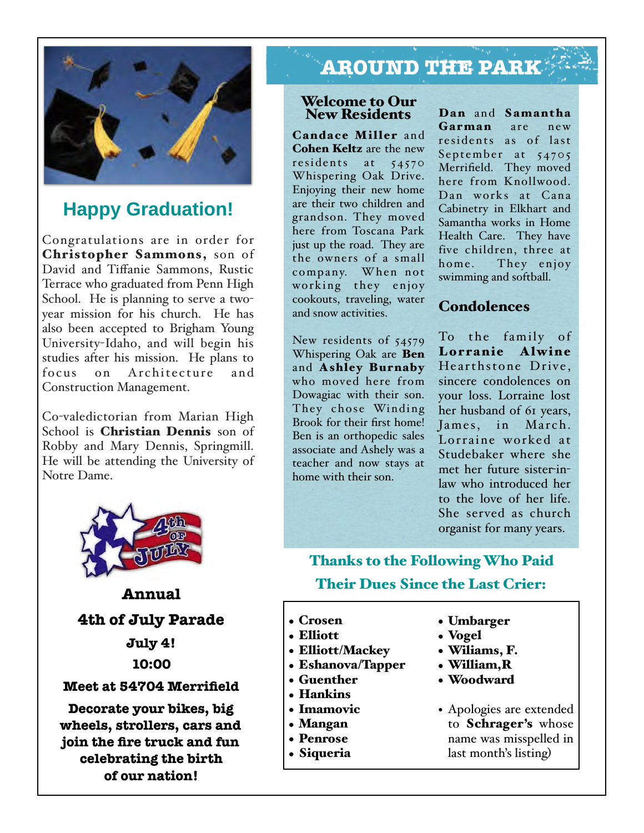

## **Happy Graduation!**

Congratulations are in order for Christopher Sammons, son of David and Tiffanie Sammons, Rustic Terrace who graduated from Penn High School. He is planning to serve a twoyear mission for his church. He has also been accepted to Brigham Young University-Idaho, and will begin his studies after his mission. He plans to focus on Architecture and Construction Management.

Co-valedictorian from Marian High School is **Christian Dennis** son of Robby and Mary Dennis, Springmill. He will be attending the University of Notre Dame.



**Annual** 

**4th of July Parade July 4! 10:00 Meet at 54704 Merrifield Decorate your bikes, big wheels, strollers, cars and join the fire truck and fun celebrating the birth of our nation!** 

# **AROUND THE PARK**

#### Welcome to Our New Residents

Candace Miller and Cohen Keltz are the new residents at 54570 Whispering Oak Drive. Enjoying their new home are their two children and grandson. They moved here from Toscana Park just up the road. They are the owners of a small company. When not working they enjoy cookouts, traveling, water and snow activities.

New residents of 54579 Whispering Oak are Ben and Ashley Burnaby who moved here from Dowagiac with their son. They chose Winding Brook for their first home! Ben is an orthopedic sales associate and Ashely was a teacher and now stays at home with their son.

Dan and Samantha Garman are new residents as of last September at 54705 Merrifield. They moved here from Knollwood. Dan works at Cana Cabinetry in Elkhart and Samantha works in Home Health Care. They have five children, three at home. They enjoy swimming and softball.

### Condolences

To the family of Lorranie Alwine Hearthstone Drive. sincere condolences on your loss. Lorraine lost her husband of 61 years, James, in March. Lorraine worked at Studebaker where she met her future sister-inlaw who introduced her to the love of her life. She served as church organist for many years.

## Thanks to the Following Who Paid Their Dues Since the Last Crier:

- Crosen
- Elliott
- Elliott/Mackey
- Eshanova/Tapper
- Guenther
- Hankins
- Imamovic
- Mangan
- Penrose
- Siqueria
- Umbarger
- Vogel
- Wiliams, F.
- William,R
- Woodward
- Apologies are extended to Schrager's whose name was misspelled in last month's listing)